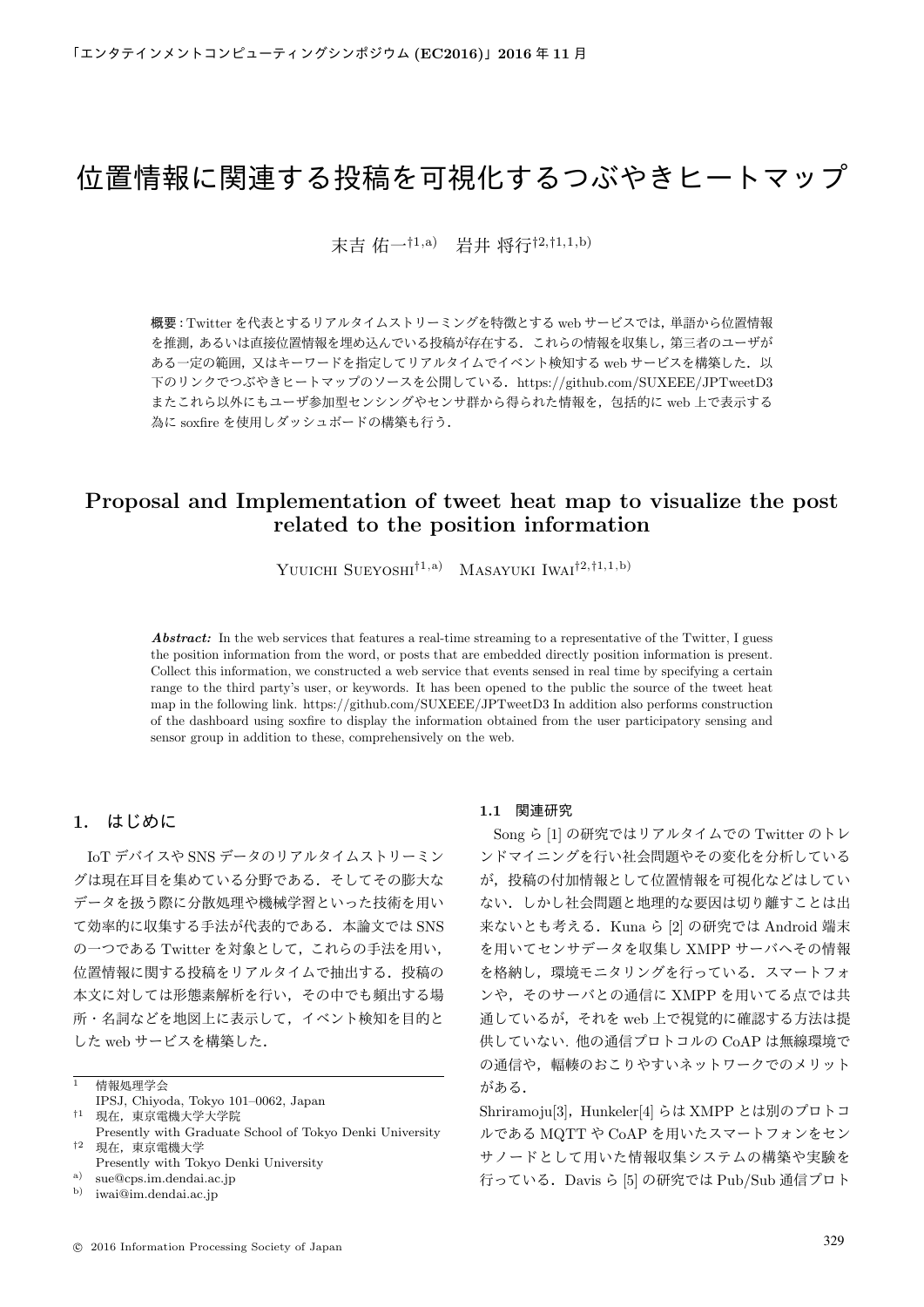# 位置情報に関連する投稿を可視化するつぶやきヒートマップ

末吉 佑一*†*1,a) 岩井 将行*†*2,*†*1,1,b)

概要: Twitter を代表とするリアルタイムストリーミングを特徴とする web サービスでは, 単語から位置情報 を推測,あるいは直接位置情報を埋め込んでいる投稿が存在する.これらの情報を収集し,第三者のユーザが ある一定の範囲,又はキーワードを指定してリアルタイムでイベント検知する web サービスを構築した. 以 下のリンクでつぶやきヒートマップのソースを公開している.https://github.com/SUXEEE/JPTweetD3 またこれら以外にもユーザ参加型センシングやセンサ群から得られた情報を,包括的に web 上で表示する 為に soxfire を使用しダッシュボードの構築も行う.

## **Proposal and Implementation of tweet heat map to visualize the post related to the position information**

Yuuichi Sueyoshi*†*1,a) Masayuki Iwai*†*2,*†*1,1,b)

Abstract: In the web services that features a real-time streaming to a representative of the Twitter, I guess the position information from the word, or posts that are embedded directly position information is present. Collect this information, we constructed a web service that events sensed in real time by specifying a certain range to the third party's user, or keywords. It has been opened to the public the source of the tweet heat map in the following link. https://github.com/SUXEEE/JPTweetD3 In addition also performs construction of the dashboard using soxfire to display the information obtained from the user participatory sensing and sensor group in addition to these, comprehensively on the web.

## **1.** はじめに

IoT デバイスや SNS データのリアルタイムストリーミン グは現在耳目を集めている分野である.そしてその膨大な データを扱う際に分散処理や機械学習といった技術を用い て効率的に収集する手法が代表的である.本論文では SNS の一つである Twitter を対象として,これらの手法を用い, 位置情報に関する投稿をリアルタイムで抽出する.投稿の 本文に対しては形態素解析を行い,その中でも頻出する場 所・名詞などを地図上に表示して,イベント検知を目的と した web サービスを構築した.

#### **1.1** 関連研究

Song ら [1] の研究ではリアルタイムでの Twitter のトレ ンドマイニングを行い社会問題やその変化を分析している が,投稿の付加情報として位置情報を可視化などはしてい ない.しかし社会問題と地理的な要因は切り離すことは出 来ないとも考える.Kuna ら [2] の研究では Android 端末 を用いてセンサデータを収集し XMPP サーバへその情報 を格納し,環境モニタリングを行っている.スマートフォ ンや、そのサーバとの通信に XMPP を用いてる点では共 通しているが,それを web 上で視覚的に確認する方法は提 供していない. 他の通信プロトコルの CoAP は無線環境で の通信や,輻輳のおこりやすいネットワークでのメリット がある.

Shriramoju[3], Hunkeler[4] らは XMPP とは別のプロトコ ルである MQTT や CoAP を用いたスマートフォンをセン サノードとして用いた情報収集システムの構築や実験を 行っている.Davis ら [5] の研究では Pub/Sub 通信プロト

<sup>1</sup> 情報処理学会

IPSJ, Chiyoda, Tokyo 101–0062, Japan

*<sup>†</sup>*<sup>1</sup> 現在,東京電機大学大学院 Presently with Graduate School of Tokyo Denki University *†*<sup>2</sup> 現在,東京電機大学

Presently with Tokyo Denki University

<sup>&</sup>lt;sup>a)</sup> sue@cps.im.dendai.ac.jp<br><sup>b)</sup> imai@im.dendai.ac.jp b) iwai@im.dendai.ac.jp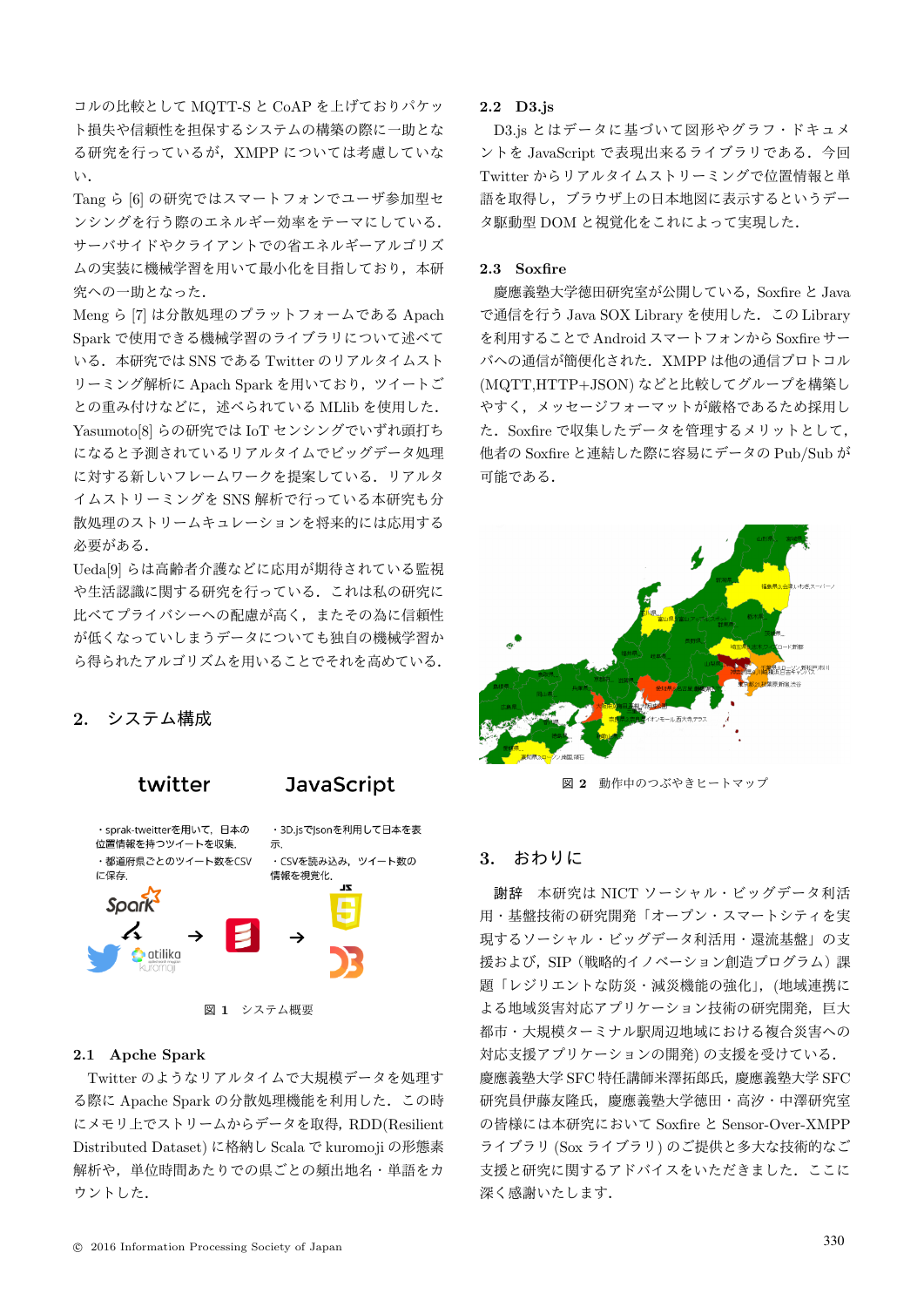コルの比較として MQTT-S と CoAP を上げておりパケッ ト損失や信頼性を担保するシステムの構築の際に一助とな る研究を行っているが,XMPP については考慮していな い.

Tang ら [6] の研究ではスマートフォンでユーザ参加型セ ンシングを行う際のエネルギー効率をテーマにしている. サーバサイドやクライアントでの省エネルギーアルゴリズ ムの実装に機械学習を用いて最小化を目指しており,本研 究への一助となった.

Meng ら [7] は分散処理のプラットフォームである Apach Spark で使用できる機械学習のライブラリについて述べて いる. 本研究では SNS である Twitter のリアルタイムスト リーミング解析に Apach Spark を用いており、ツイートご との重み付けなどに、述べられている MLlib を使用した. Yasumoto[8] らの研究では IoT センシングでいずれ頭打ち になると予測されているリアルタイムでビッグデータ処理 に対する新しいフレームワークを提案している.リアルタ イムストリーミングを SNS 解析で行っている本研究も分 散処理のストリームキュレーションを将来的には応用する 必要がある.

Ueda[9] らは高齢者介護などに応用が期待されている監視 や生活認識に関する研究を行っている.これは私の研究に 比べてプライバシーへの配慮が高く,またその為に信頼性 が低くなっていしまうデータについても独自の機械学習か ら得られたアルゴリズムを用いることでそれを高めている.

## **2.** システム構成



#### **2.1 Apche Spark**

Twitter のようなリアルタイムで大規模データを処理す る際に Apache Spark の分散処理機能を利用した.この時 にメモリ上でストリームからデータを取得,RDD(Resilient Distributed Dataset) に格納し Scala で kuromoji の形態素 解析や,単位時間あたりでの県ごとの頻出地名・単語をカ ウントした.

#### **2.2 D3.js**

D3.js とはデータに基づいて図形やグラフ・ドキュメ ントを JavaScript で表現出来るライブラリである. 今回 Twitter からリアルタイムストリーミングで位置情報と単 語を取得し,ブラウザ上の日本地図に表示するというデー タ駆動型 DOM と視覚化をこれによって実現した.

### **2.3 Soxfire**

慶應義塾大学徳田研究室が公開している,Soxfire と Java で通信を行う Java SOX Library を使用した.この Library を利用することで Android スマートフォンから Soxfire サー バへの通信が簡便化された.XMPP は他の通信プロトコル (MQTT,HTTP+JSON) などと比較してグループを構築し やすく,メッセージフォーマットが厳格であるため採用し た.Soxfire で収集したデータを管理するメリットとして, 他者の Soxfire と連結した際に容易にデータの Pub/Sub が 可能である.



図 **2** 動作中のつぶやきヒートマップ

#### **3.** おわりに

謝辞 本研究は NICT ソーシャル・ビッグデータ利活 用・基盤技術の研究開発「オープン・スマートシティを実 現するソーシャル・ビッグデータ利活用・還流基盤」の支 援および, SIP (戦略的イノベーション創造プログラム)課 題「レジリエントな防災・減災機能の強化」,(地域連携に よる地域災害対応アプリケーション技術の研究開発,巨大 都市・大規模ターミナル駅周辺地域における複合災害への 対応支援アプリケーションの開発) の支援を受けている. 慶應義塾大学 SFC 特任講師米澤拓郎氏,慶應義塾大学 SFC 研究員伊藤友隆氏,慶應義塾大学徳田・高汐・中澤研究室 の皆様には本研究において Soxfire と Sensor-Over-XMPP ライブラリ (Sox ライブラリ) のご提供と多大な技術的なご 支援と研究に関するアドバイスをいただきました.ここに 深く感謝いたします.